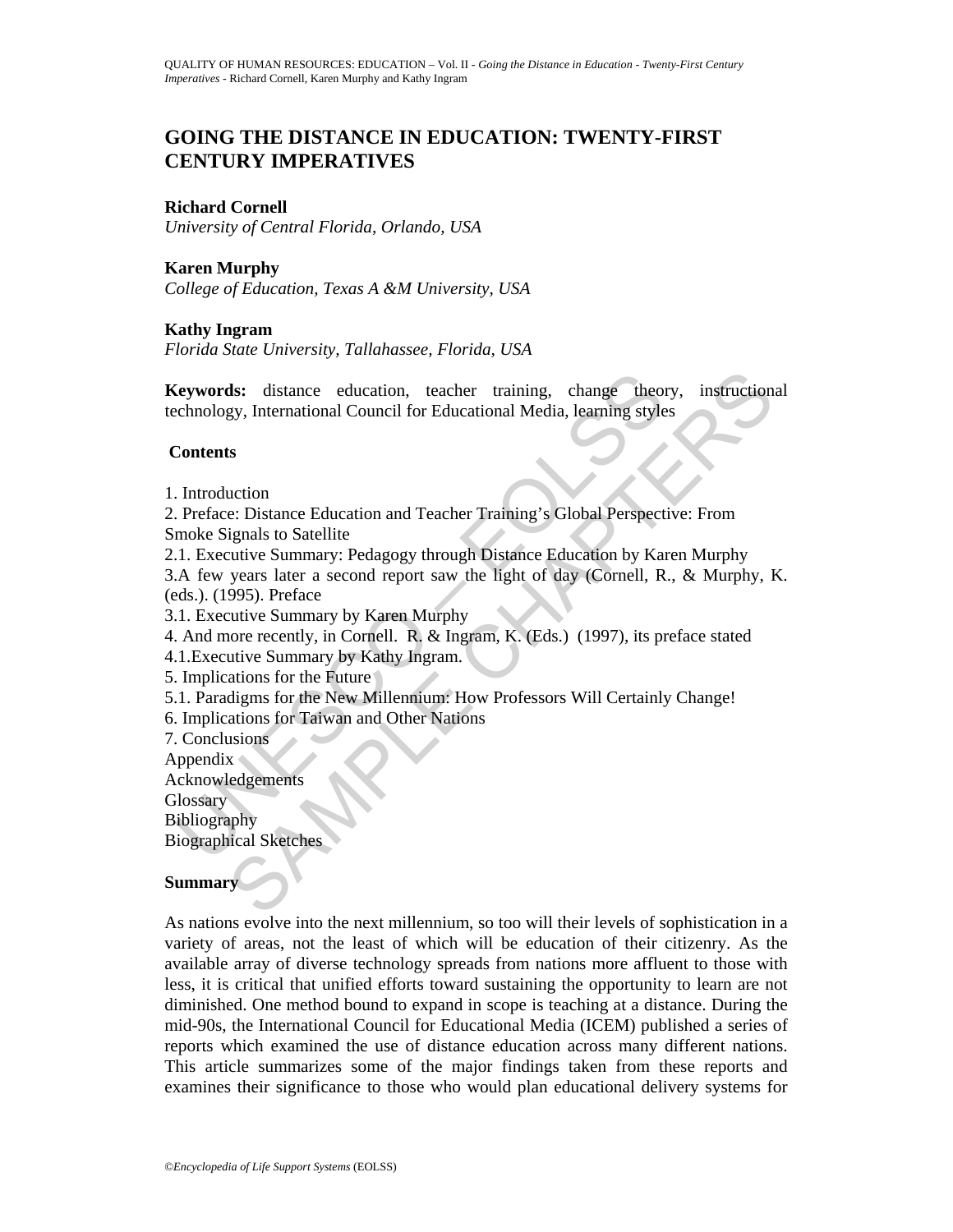# **GOING THE DISTANCE IN EDUCATION: TWENTY-FIRST CENTURY IMPERATIVES**

## **Richard Cornell**

*University of Central Florida, Orlando, USA* 

## **Karen Murphy**

*College of Education, Texas A &M University, USA* 

## **Kathy Ingram**

*Florida State University, Tallahassee, Florida, USA* 

**Keywords:** distance education, teacher training, change theory, instructional technology, International Council for Educational Media, learning styles

## **Contents**

- 1. Introduction
- 2. Preface: Distance Education and Teacher Training's Global Perspective: From Smoke Signals to Satellite

Expresses distance education, teacher training, change theorem<br>chnology, International Council for Educational Media, learning style<br>**Contents**<br>Introduction<br>Preface: Distance Education and Teacher Training's Global Perspec ds: distance education, teacher training, change theory, instructions<br>gy, International Council for Educational Media, learning styles<br>is<br>to the Chapter Education and Teacher Training's Global Perspective: From<br>eignals to 2.1. Executive Summary: Pedagogy through Distance Education by Karen Murphy 3.A few years later a second report saw the light of day (Cornell, R., & Murphy, K. (eds.). (1995). Preface

- 3.1. Executive Summary by Karen Murphy
- 4. And more recently, in Cornell. R. & Ingram, K. (Eds.) (1997), its preface stated
- 4.1. Executive Summary by Kathy Ingram.
- 5. Implications for the Future
- 5.1. Paradigms for the New Millennium: How Professors Will Certainly Change!
- 6. Implications for Taiwan and Other Nations

7. Conclusions Appendix Acknowledgements

**Glossary** Bibliography

Biographical Sketches

## **Summary**

As nations evolve into the next millennium, so too will their levels of sophistication in a variety of areas, not the least of which will be education of their citizenry. As the available array of diverse technology spreads from nations more affluent to those with less, it is critical that unified efforts toward sustaining the opportunity to learn are not diminished. One method bound to expand in scope is teaching at a distance. During the mid-90s, the International Council for Educational Media (ICEM) published a series of reports which examined the use of distance education across many different nations. This article summarizes some of the major findings taken from these reports and examines their significance to those who would plan educational delivery systems for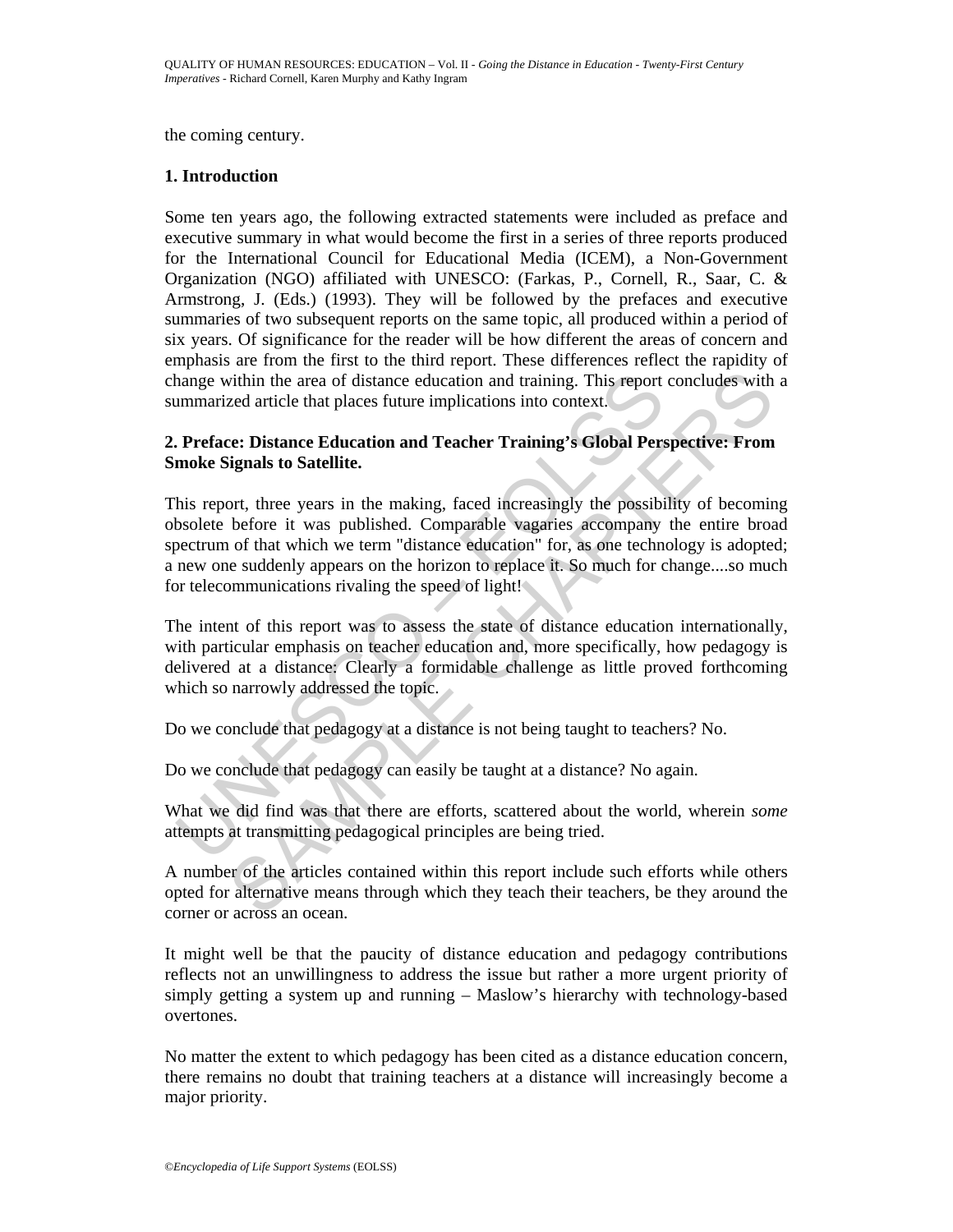the coming century.

## **1. Introduction**

Some ten years ago, the following extracted statements were included as preface and executive summary in what would become the first in a series of three reports produced for the International Council for Educational Media (ICEM), a Non-Government Organization (NGO) affiliated with UNESCO: (Farkas, P., Cornell, R., Saar, C. & Armstrong, J. (Eds.) (1993). They will be followed by the prefaces and executive summaries of two subsequent reports on the same topic, all produced within a period of six years. Of significance for the reader will be how different the areas of concern and emphasis are from the first to the third report. These differences reflect the rapidity of change within the area of distance education and training. This report concludes with a summarized article that places future implications into context.

## **2. Preface: Distance Education and Teacher Training's Global Perspective: From Smoke Signals to Satellite.**

The manniform the area of distance education and training. This report<br>
Immarized article that places future implications into context.<br> **Preface: Distance Education and Teacher Training's Global Pers**<br> **Preface: Distance** within the area of distance education and training. This report concludes with<br>red article that places future implications into context.<br>
The CHA article that places future implications into context.<br>
The CHA are CHAPTERS This report, three years in the making, faced increasingly the possibility of becoming obsolete before it was published. Comparable vagaries accompany the entire broad spectrum of that which we term "distance education" for, as one technology is adopted; a new one suddenly appears on the horizon to replace it. So much for change....so much for telecommunications rivaling the speed of light!

The intent of this report was to assess the state of distance education internationally, with particular emphasis on teacher education and, more specifically, how pedagogy is delivered at a distance: Clearly a formidable challenge as little proved forthcoming which so narrowly addressed the topic.

Do we conclude that pedagogy at a distance is not being taught to teachers? No.

Do we conclude that pedagogy can easily be taught at a distance? No again.

What we did find was that there are efforts, scattered about the world, wherein *some*  attempts at transmitting pedagogical principles are being tried.

A number of the articles contained within this report include such efforts while others opted for alternative means through which they teach their teachers, be they around the corner or across an ocean.

It might well be that the paucity of distance education and pedagogy contributions reflects not an unwillingness to address the issue but rather a more urgent priority of simply getting a system up and running – Maslow's hierarchy with technology-based overtones.

No matter the extent to which pedagogy has been cited as a distance education concern, there remains no doubt that training teachers at a distance will increasingly become a major priority.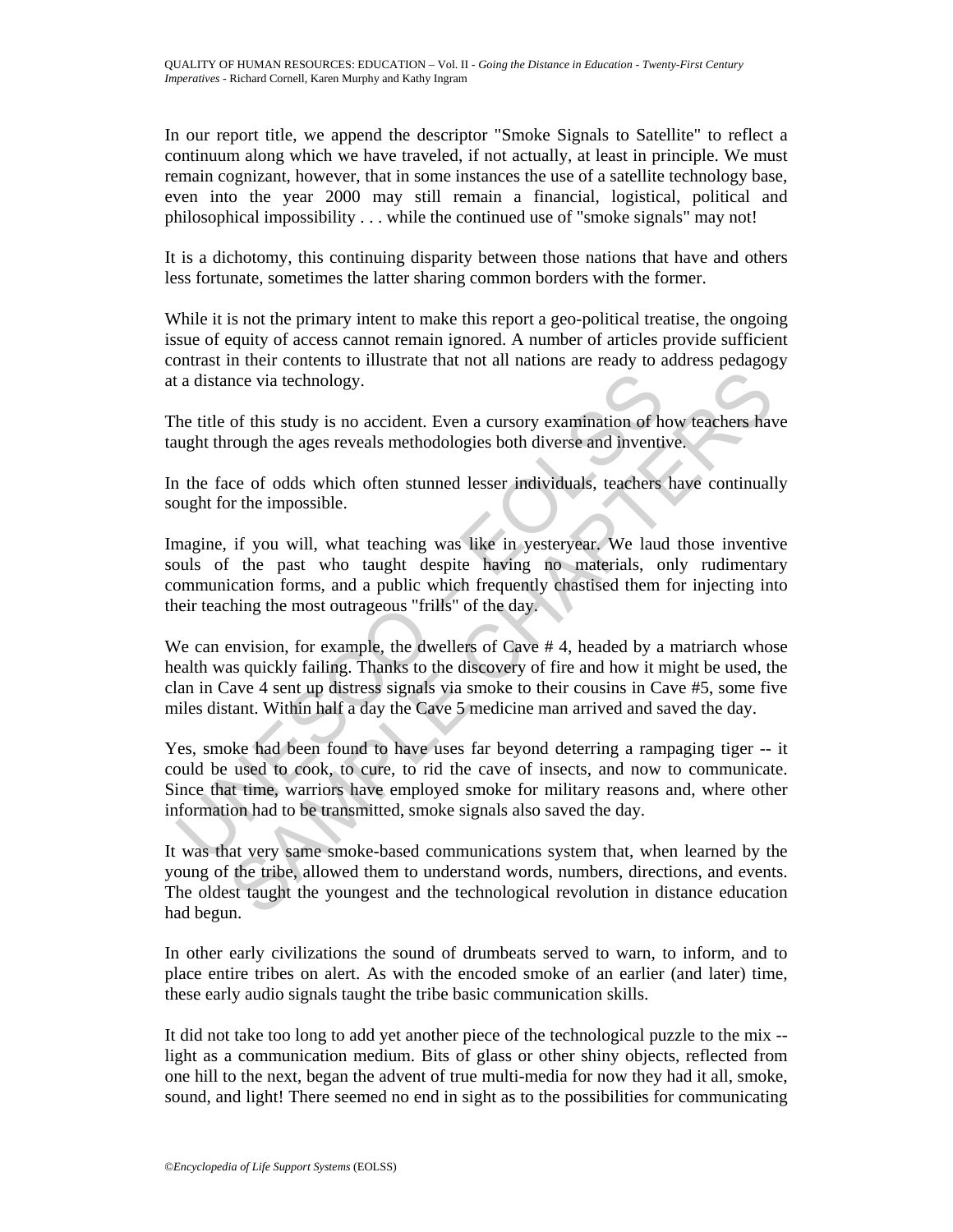In our report title, we append the descriptor "Smoke Signals to Satellite" to reflect a continuum along which we have traveled, if not actually, at least in principle. We must remain cognizant, however, that in some instances the use of a satellite technology base, even into the year 2000 may still remain a financial, logistical, political and philosophical impossibility . . . while the continued use of "smoke signals" may not!

It is a dichotomy, this continuing disparity between those nations that have and others less fortunate, sometimes the latter sharing common borders with the former.

While it is not the primary intent to make this report a geo-political treatise, the ongoing issue of equity of access cannot remain ignored. A number of articles provide sufficient contrast in their contents to illustrate that not all nations are ready to address pedagogy at a distance via technology.

The title of this study is no accident. Even a cursory examination of how teachers have taught through the ages reveals methodologies both diverse and inventive.

In the face of odds which often stunned lesser individuals, teachers have continually sought for the impossible.

is a distance via technology.<br>
the title of this study is no accident. Even a cursory examination of he<br>
ught through the ages reveals methodologies both diverse and inventiary<br>
in the face of odds which often stunned less nce via technology.<br>
of this study is no accident. Even a cursory examination of how teachers have<br>
or of this study is no accident. Even a cursory examination of how teachers have<br>
or of dds which often stunned lesser ind Imagine, if you will, what teaching was like in yesteryear. We laud those inventive souls of the past who taught despite having no materials, only rudimentary communication forms, and a public which frequently chastised them for injecting into their teaching the most outrageous "frills" of the day.

We can envision, for example, the dwellers of Cave #4, headed by a matriarch whose health was quickly failing. Thanks to the discovery of fire and how it might be used, the clan in Cave 4 sent up distress signals via smoke to their cousins in Cave #5, some five miles distant. Within half a day the Cave 5 medicine man arrived and saved the day.

Yes, smoke had been found to have uses far beyond deterring a rampaging tiger -- it could be used to cook, to cure, to rid the cave of insects, and now to communicate. Since that time, warriors have employed smoke for military reasons and, where other information had to be transmitted, smoke signals also saved the day.

It was that very same smoke-based communications system that, when learned by the young of the tribe, allowed them to understand words, numbers, directions, and events. The oldest taught the youngest and the technological revolution in distance education had begun.

In other early civilizations the sound of drumbeats served to warn, to inform, and to place entire tribes on alert. As with the encoded smoke of an earlier (and later) time, these early audio signals taught the tribe basic communication skills.

It did not take too long to add yet another piece of the technological puzzle to the mix - light as a communication medium. Bits of glass or other shiny objects, reflected from one hill to the next, began the advent of true multi-media for now they had it all, smoke, sound, and light! There seemed no end in sight as to the possibilities for communicating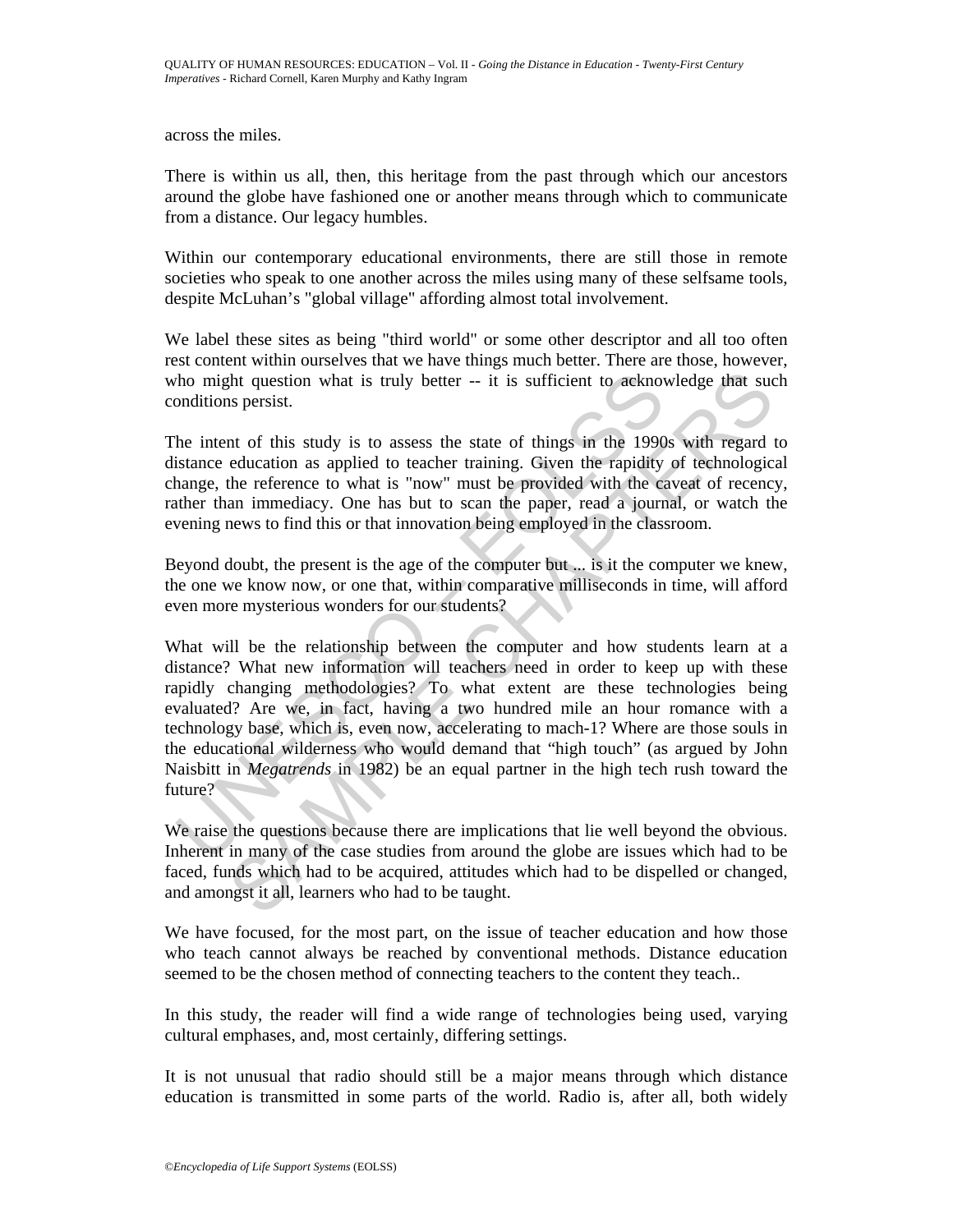across the miles.

There is within us all, then, this heritage from the past through which our ancestors around the globe have fashioned one or another means through which to communicate from a distance. Our legacy humbles.

Within our contemporary educational environments, there are still those in remote societies who speak to one another across the miles using many of these selfsame tools, despite McLuhan's "global village" affording almost total involvement.

We label these sites as being "third world" or some other descriptor and all too often rest content within ourselves that we have things much better. There are those, however, who might question what is truly better -- it is sufficient to acknowledge that such conditions persist.

The intent of this study is to assess the state of things in the 1990s with regard to distance education as applied to teacher training. Given the rapidity of technological change, the reference to what is "now" must be provided with the caveat of recency, rather than immediacy. One has but to scan the paper, read a journal, or watch the evening news to find this or that innovation being employed in the classroom.

Beyond doubt, the present is the age of the computer but ... is it the computer we knew, the one we know now, or one that, within comparative milliseconds in time, will afford even more mysterious wonders for our students?

the might question what is truly better  $-$  it is sufficient to acknow<br>onditions persist.<br>the intent of this study is to assess the state of things in the 1990<br>istance education as applied to teacher training. Given the r th question what is truly better  $-$  it is sufficient to acknowledge that suc<br>is persist.<br>In of this study is to assess the state of things in the 1990s with regard education as applied to teacher training. Given the rapi What will be the relationship between the computer and how students learn at a distance? What new information will teachers need in order to keep up with these rapidly changing methodologies? To what extent are these technologies being evaluated? Are we, in fact, having a two hundred mile an hour romance with a technology base, which is, even now, accelerating to mach-1? Where are those souls in the educational wilderness who would demand that "high touch" (as argued by John Naisbitt in *Megatrends* in 1982) be an equal partner in the high tech rush toward the future?

We raise the questions because there are implications that lie well beyond the obvious. Inherent in many of the case studies from around the globe are issues which had to be faced, funds which had to be acquired, attitudes which had to be dispelled or changed, and amongst it all, learners who had to be taught.

We have focused, for the most part, on the issue of teacher education and how those who teach cannot always be reached by conventional methods. Distance education seemed to be the chosen method of connecting teachers to the content they teach..

In this study, the reader will find a wide range of technologies being used, varying cultural emphases, and, most certainly, differing settings.

It is not unusual that radio should still be a major means through which distance education is transmitted in some parts of the world. Radio is, after all, both widely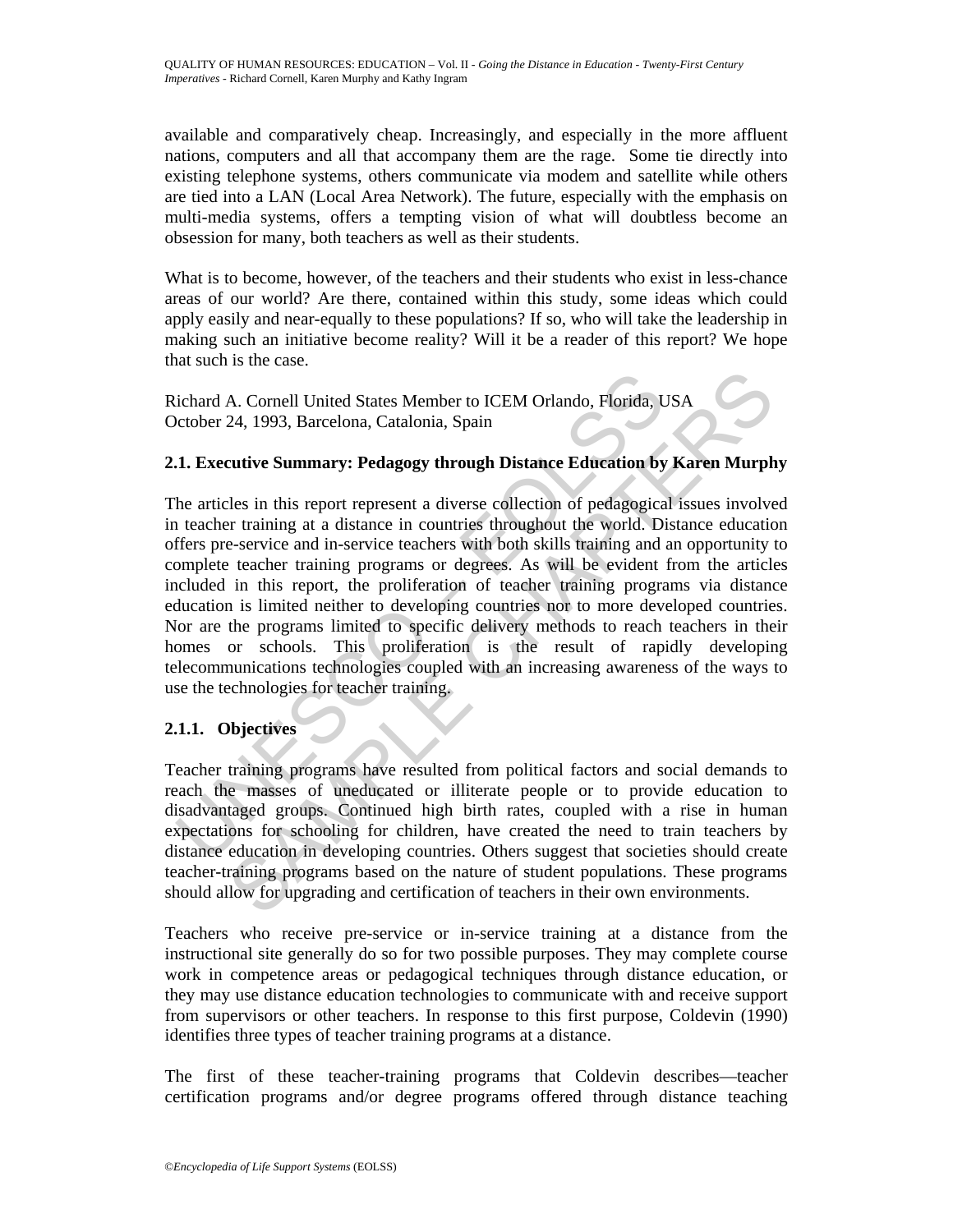available and comparatively cheap. Increasingly, and especially in the more affluent nations, computers and all that accompany them are the rage. Some tie directly into existing telephone systems, others communicate via modem and satellite while others are tied into a LAN (Local Area Network). The future, especially with the emphasis on multi-media systems, offers a tempting vision of what will doubtless become an obsession for many, both teachers as well as their students.

What is to become, however, of the teachers and their students who exist in less-chance areas of our world? Are there, contained within this study, some ideas which could apply easily and near-equally to these populations? If so, who will take the leadership in making such an initiative become reality? Will it be a reader of this report? We hope that such is the case.

Richard A. Cornell United States Member to ICEM Orlando, Florida, USA October 24, 1993, Barcelona, Catalonia, Spain

## **2.1. Executive Summary: Pedagogy through Distance Education by Karen Murphy**

ichard A. Cornell United States Member to ICEM Orlando, Florida, Uctober 24, 1993, Barcelona, Catalonia, Spain<br>
1. **Executive Summary: Pedagogy through Distance Education by**<br>
he articles in this report represent a diverse A. Cornell United States Member to ICEM Orlando, Florida, USA<br>
24, 1993, Barcelona, Catalonia, Spain<br>
24, 1993, Barcelona, Catalonia, Spain<br>
24, 1993, Barcelona, Catalonia, Spain<br>
24, 1993, Barcelona, Catalonia, Spain<br>
24, The articles in this report represent a diverse collection of pedagogical issues involved in teacher training at a distance in countries throughout the world. Distance education offers pre-service and in-service teachers with both skills training and an opportunity to complete teacher training programs or degrees. As will be evident from the articles included in this report, the proliferation of teacher training programs via distance education is limited neither to developing countries nor to more developed countries. Nor are the programs limited to specific delivery methods to reach teachers in their homes or schools. This proliferation is the result of rapidly developing telecommunications technologies coupled with an increasing awareness of the ways to use the technologies for teacher training.

# **2.1.1. Objectives**

Teacher training programs have resulted from political factors and social demands to reach the masses of uneducated or illiterate people or to provide education to disadvantaged groups. Continued high birth rates, coupled with a rise in human expectations for schooling for children, have created the need to train teachers by distance education in developing countries. Others suggest that societies should create teacher-training programs based on the nature of student populations. These programs should allow for upgrading and certification of teachers in their own environments.

Teachers who receive pre-service or in-service training at a distance from the instructional site generally do so for two possible purposes. They may complete course work in competence areas or pedagogical techniques through distance education, or they may use distance education technologies to communicate with and receive support from supervisors or other teachers. In response to this first purpose, Coldevin (1990) identifies three types of teacher training programs at a distance.

The first of these teacher-training programs that Coldevin describes—teacher certification programs and/or degree programs offered through distance teaching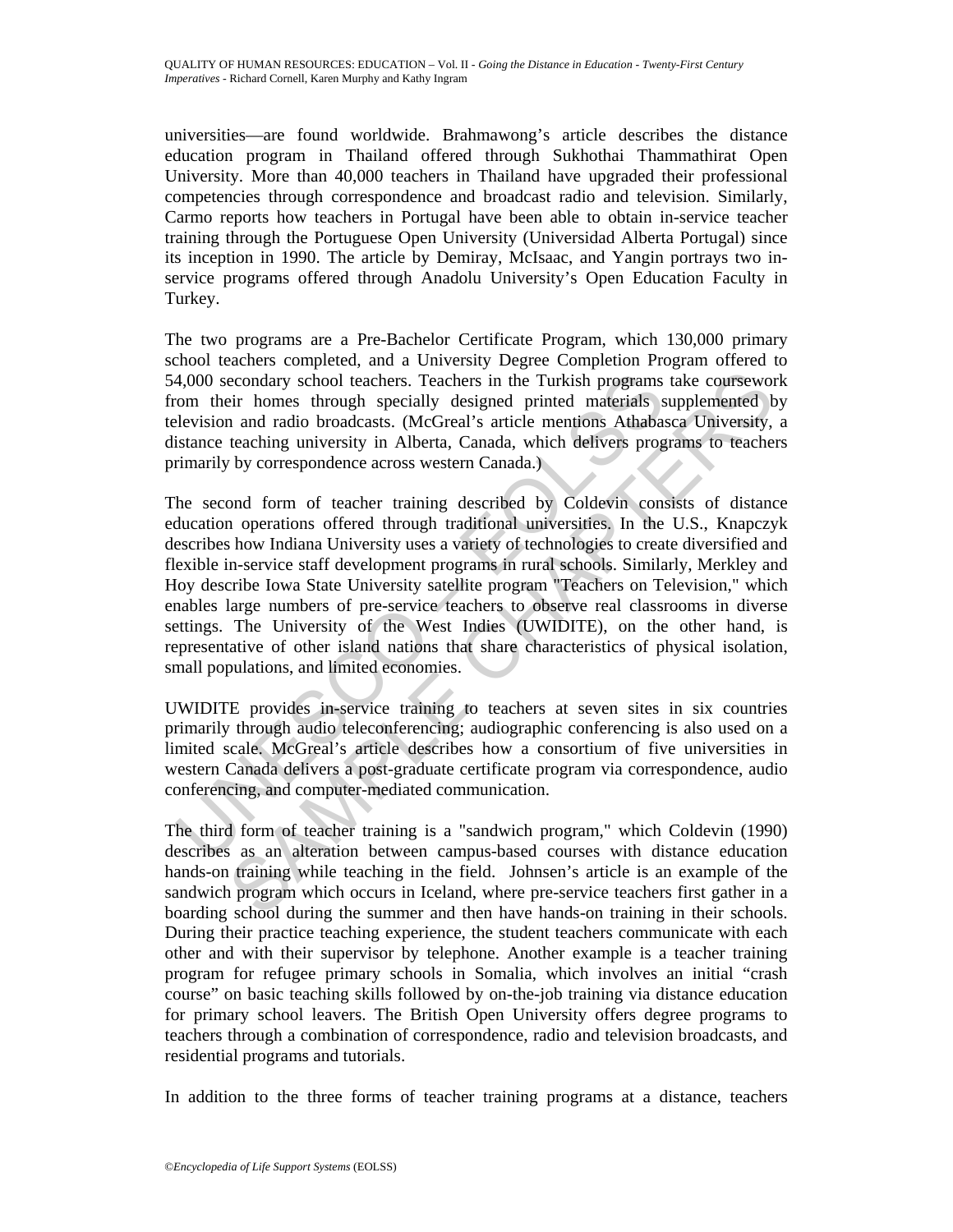universities—are found worldwide. Brahmawong's article describes the distance education program in Thailand offered through Sukhothai Thammathirat Open University. More than 40,000 teachers in Thailand have upgraded their professional competencies through correspondence and broadcast radio and television. Similarly, Carmo reports how teachers in Portugal have been able to obtain in-service teacher training through the Portuguese Open University (Universidad Alberta Portugal) since its inception in 1990. The article by Demiray, McIsaac, and Yangin portrays two inservice programs offered through Anadolu University's Open Education Faculty in Turkey.

The two programs are a Pre-Bachelor Certificate Program, which 130,000 primary school teachers completed, and a University Degree Completion Program offered to 54,000 secondary school teachers. Teachers in the Turkish programs take coursework from their homes through specially designed printed materials supplemented by television and radio broadcasts. (McGreal's article mentions Athabasca University, a distance teaching university in Alberta, Canada, which delivers programs to teachers primarily by correspondence across western Canada.)

4,000 secondary school teachers. Teachers in the Turkish programs<br>com their homes through specially designed printed materials s<br>levision and radio broadcasts. (MCGreal's article mentions Athabas<br>istance teaching universit econdary school teachers. Teachers in the Turkish programs take coursewor<br>
ie in homes through specially designed printed materials supplemented b<br>
and ratio broadcasts. (McGrael's article mentions Athabasca University,<br>
t The second form of teacher training described by Coldevin consists of distance education operations offered through traditional universities. In the U.S., Knapczyk describes how Indiana University uses a variety of technologies to create diversified and flexible in-service staff development programs in rural schools. Similarly, Merkley and Hoy describe Iowa State University satellite program "Teachers on Television," which enables large numbers of pre-service teachers to observe real classrooms in diverse settings. The University of the West Indies (UWIDITE), on the other hand, is representative of other island nations that share characteristics of physical isolation, small populations, and limited economies.

UWIDITE provides in-service training to teachers at seven sites in six countries primarily through audio teleconferencing; audiographic conferencing is also used on a limited scale. McGreal's article describes how a consortium of five universities in western Canada delivers a post-graduate certificate program via correspondence, audio conferencing, and computer-mediated communication.

The third form of teacher training is a "sandwich program," which Coldevin (1990) describes as an alteration between campus-based courses with distance education hands-on training while teaching in the field. Johnsen's article is an example of the sandwich program which occurs in Iceland, where pre-service teachers first gather in a boarding school during the summer and then have hands-on training in their schools. During their practice teaching experience, the student teachers communicate with each other and with their supervisor by telephone. Another example is a teacher training program for refugee primary schools in Somalia, which involves an initial "crash course" on basic teaching skills followed by on-the-job training via distance education for primary school leavers. The British Open University offers degree programs to teachers through a combination of correspondence, radio and television broadcasts, and residential programs and tutorials.

In addition to the three forms of teacher training programs at a distance, teachers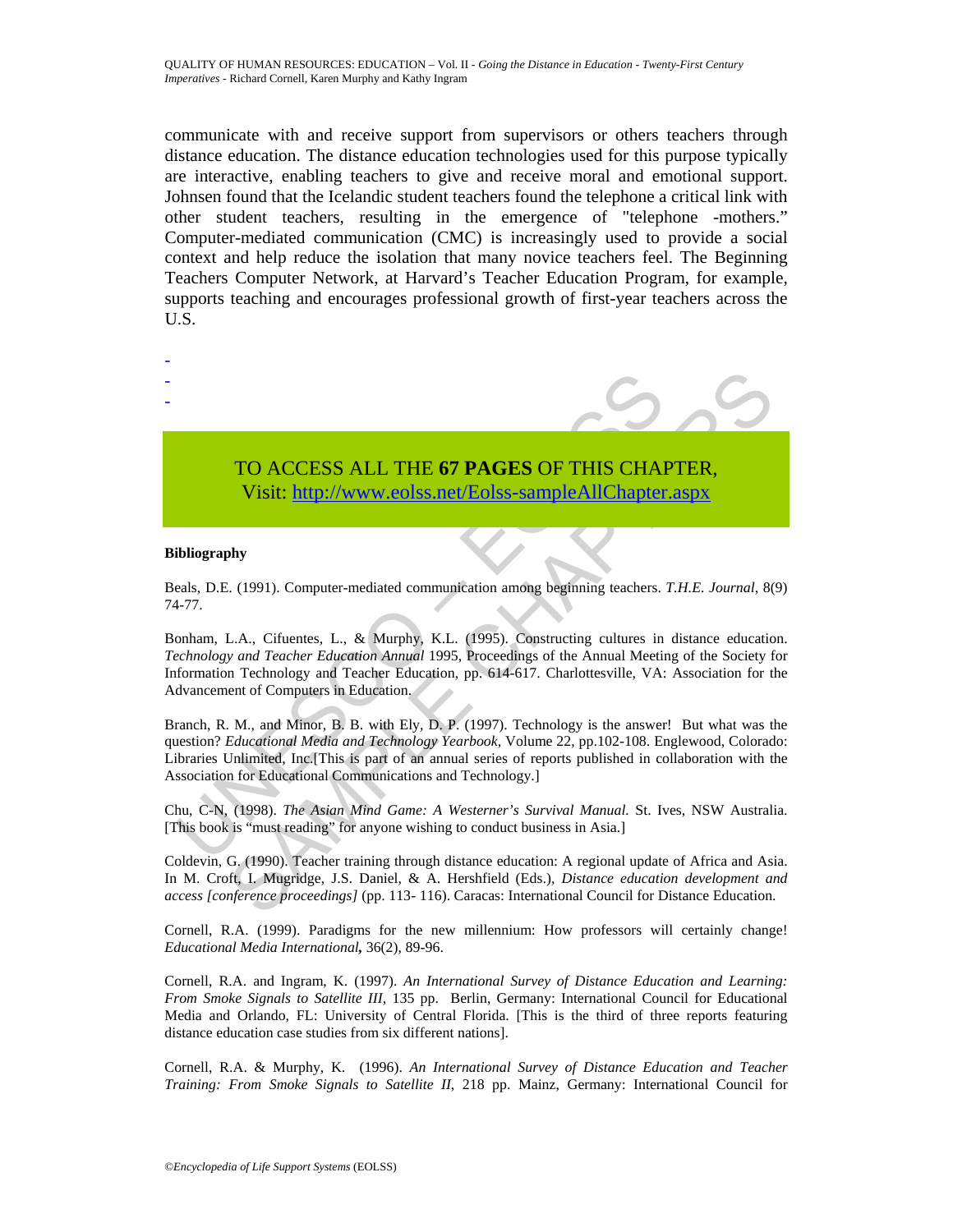communicate with and receive support from supervisors or others teachers through distance education. The distance education technologies used for this purpose typically are interactive, enabling teachers to give and receive moral and emotional support. Johnsen found that the Icelandic student teachers found the telephone a critical link with other student teachers, resulting in the emergence of "telephone -mothers." Computer-mediated communication (CMC) is increasingly used to provide a social context and help reduce the isolation that many novice teachers feel. The Beginning Teachers Computer Network, at Harvard's Teacher Education Program, for example, supports teaching and encourages professional growth of first-year teachers across the U.S.

# TO ACCESS ALL THE **67 PAGES** OF THIS CHAPTER, Visit: http://www.eolss.net/Eolss-sampleAllChapter.aspx

#### **Bibliography**

- - -

Beals, D.E. (1991). Computer-mediated communication among beginning teachers. *T.H.E. Journal*, 8(9) 74-77.

Bonham, L.A., Cifuentes, L., & Murphy, K.L. (1995). Constructing cultures in distance education. *Technology and Teacher Education Annual* 1995, Proceedings of the Annual Meeting of the Society for Information Technology and Teacher Education, pp. 614-617. Charlottesville, VA: Association for the Advancement of Computers in Education.

TO ACCESS ALL THE 67 PAGES OF THIS CHA<br>
Visit: http://www.eolss.net/Eolss-sampleAllChapter<br>
ibliography<br>
and Teacher Education among beginning teachers.<br>
1-77.<br>
conham, L.A., Cifuentes, L., & Murphy, K.L. (1995). Construct TO ACCESS ALL THE 67 PAGES OF THIS CHAP[TE](https://www.eolss.net/ebooklib/sc_cart.aspx?File=E1-12-03-07)R,<br>Visit: http://www.colss.net/Eolss-sample All Chapter.aspx<br>My<br>ist. (1991). Computer-mediated communication among beginning teachers. *T.H.E. Journal*, 8(<br>L.A., Cifnentes, L., & Mu Branch, R. M., and Minor, B. B. with Ely, D. P. (1997). Technology is the answer! But what was the question? *Educational Media and Technology Yearbook,* Volume 22*,* pp.102-108. Englewood, Colorado: Libraries Unlimited, Inc.[This is part of an annual series of reports published in collaboration with the Association for Educational Communications and Technology.]

Chu, C-N, (1998). *The Asian Mind Game: A Westerner's Survival Manual.* St. Ives, NSW Australia. [This book is "must reading" for anyone wishing to conduct business in Asia.]

Coldevin, G. (1990). Teacher training through distance education: A regional update of Africa and Asia. In M. Croft, I. Mugridge, J.S. Daniel, & A. Hershfield (Eds.), *Distance education development and access [conference proceedings]* (pp. 113*-* 116). Caracas: International Council for Distance Education.

Cornell, R.A. (1999). Paradigms for the new millennium: How professors will certainly change! *Educational Media International,* 36(2), 89-96.

Cornell, R.A. and Ingram, K. (1997). *An International Survey of Distance Education and Learning: From Smoke Signals to Satellite III,* 135 pp. Berlin, Germany: International Council for Educational Media and Orlando, FL: University of Central Florida. [This is the third of three reports featuring distance education case studies from six different nations].

Cornell, R.A. & Murphy, K. (1996). *An International Survey of Distance Education and Teacher Training: From Smoke Signals to Satellite II*, 218 pp. Mainz, Germany: International Council for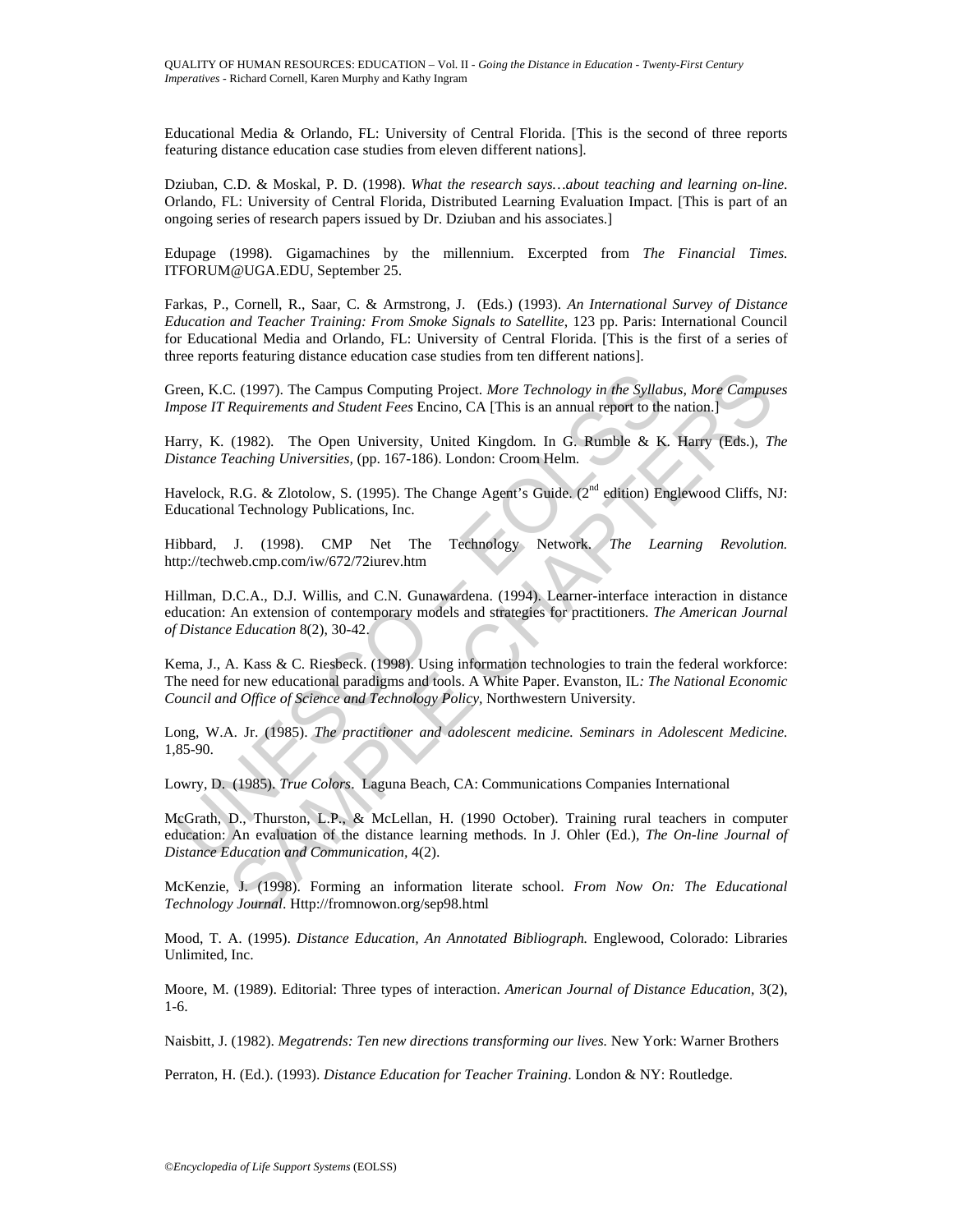Educational Media & Orlando, FL: University of Central Florida. [This is the second of three reports featuring distance education case studies from eleven different nations].

Dziuban, C.D. & Moskal, P. D. (1998). *What the research says…about teaching and learning on-line*. Orlando, FL: University of Central Florida, Distributed Learning Evaluation Impact. [This is part of an ongoing series of research papers issued by Dr. Dziuban and his associates.]

Edupage (1998). Gigamachines by the millennium. Excerpted from *The Financial Times.*  ITFORUM@UGA.EDU, September 25.

Farkas, P., Cornell, R., Saar, C. & Armstrong, J. (Eds.) (1993). *An International Survey of Distance Education and Teacher Training: From Smoke Signals to Satellite*, 123 pp. Paris: International Council for Educational Media and Orlando, FL: University of Central Florida. [This is the first of a series of three reports featuring distance education case studies from ten different nations].

Green, K.C. (1997). The Campus Computing Project. *More Technology in the Syllabus, More Campuses Impose IT Requirements and Student Fees* Encino, CA [This is an annual report to the nation.]

Harry, K. (1982). The Open University, United Kingdom. In G. Rumble & K. Harry (Eds.), *The Distance Teaching Universities,* (pp. 167-186). London: Croom Helm.

Havelock, R.G. & Zlotolow, S. (1995). The Change Agent's Guide. (2<sup>nd</sup> edition) Englewood Cliffs, NJ: Educational Technology Publications, Inc.

Hibbard, J. (1998). CMP Net The Technology Network. *The Learning Revolution.* http://techweb.cmp.com/iw/672/72iurev.htm

Hillman, D.C.A., D.J. Willis, and C.N. Gunawardena. (1994). Learner-interface interaction in distance education: An extension of contemporary models and strategies for practitioners. *The American Journal of Distance Education* 8(2), 30-42.

Kema, J., A. Kass & C. Riesbeck. (1998). Using information technologies to train the federal workforce: The need for new educational paradigms and tools. A White Paper. Evanston, IL*: The National Economic Council and Office of Science and Technology Policy,* Northwestern University.

Long, W.A. Jr. (1985). *The practitioner and adolescent medicine. Seminars in Adolescent Medicine.*  1,85-90.

Lowry, D. (1985). *True Colors*. Laguna Beach, CA: Communications Companies International

rena, K.C. (1997). The Campus Computing Project. *More Technology in the Syllalpose IT Requirements and Student Fees Encino*, CA [This is an annual report to the arry, K. (1982). The Open University, United Kingdom. In G. C. (1997). The Campus Computing Project. *More Technology in the Syllabus, More Campus Requirements and Student Fees Encino, CA [This is an annual report to the nation.]*<br>
(1982). The Open University, United Kingdom. In G McGrath, D., Thurston, L.P., & McLellan, H. (1990 October). Training rural teachers in computer education: An evaluation of the distance learning methods. In J. Ohler (Ed.), *The On-line Journal of Distance Education and Communication,* 4(2).

McKenzie, J. (1998). Forming an information literate school. *From Now On: The Educational Technology Journal*. Http://fromnowon.org/sep98.html

Mood, T. A. (1995). *Distance Education, An Annotated Bibliograph.* Englewood, Colorado: Libraries Unlimited, Inc.

Moore, M. (1989). Editorial: Three types of interaction. *American Journal of Distance Education,* 3(2), 1-6.

Naisbitt, J. (1982). *Megatrends: Ten new directions transforming our lives.* New York: Warner Brothers

Perraton, H. (Ed.). (1993). *Distance Education for Teacher Training*. London & NY: Routledge.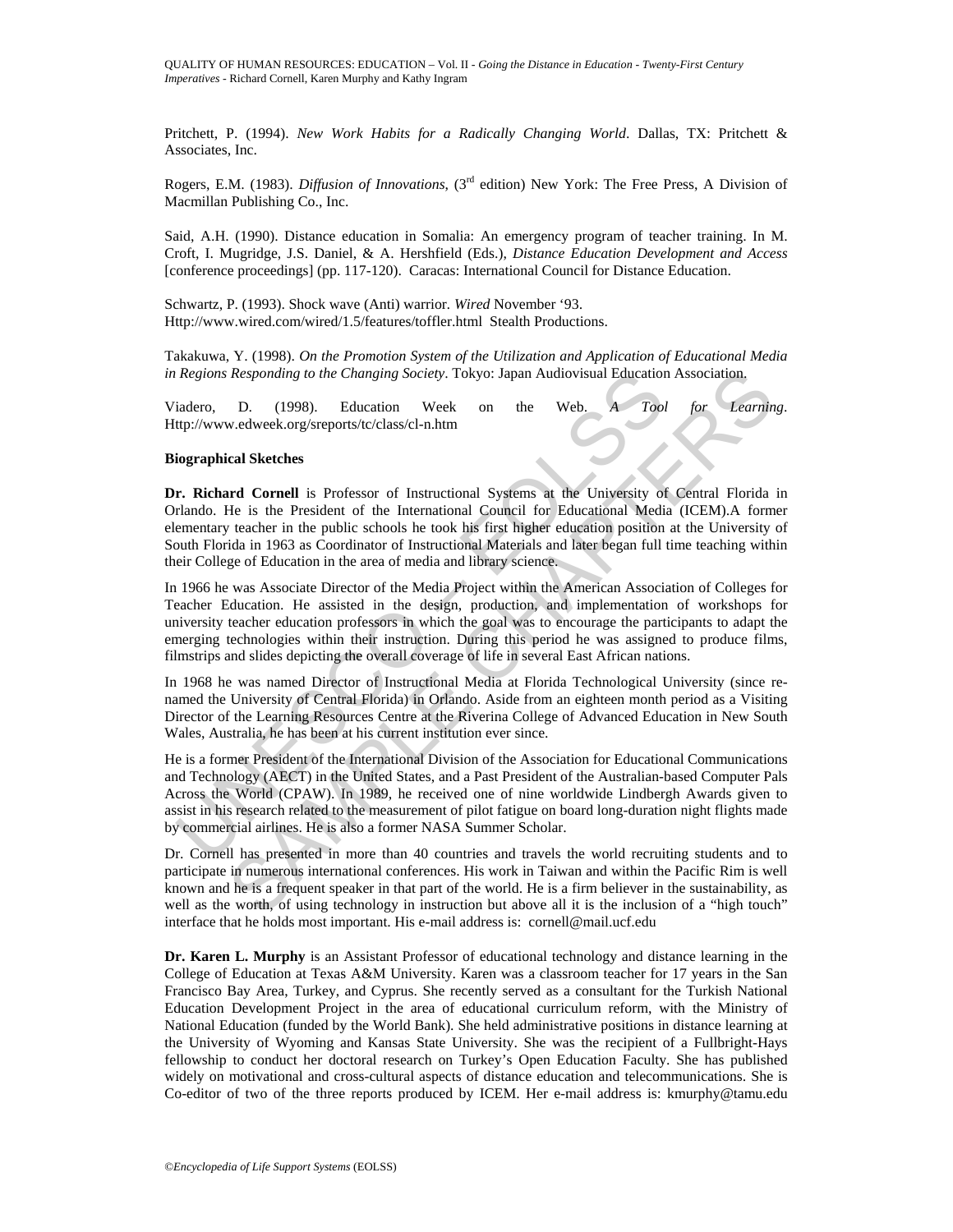Pritchett, P. (1994). *New Work Habits for a Radically Changing World*. Dallas, TX: Pritchett & Associates, Inc.

Rogers, E.M. (1983). *Diffusion of Innovations*, (3rd edition) New York: The Free Press, A Division of Macmillan Publishing Co., Inc.

Said, A.H. (1990). Distance education in Somalia: An emergency program of teacher training. In M. Croft, I. Mugridge, J.S. Daniel, & A. Hershfield (Eds.), *Distance Education Development and Access*  [conference proceedings] (pp. 117-120). Caracas: International Council for Distance Education.

Schwartz, P. (1993). Shock wave (Anti) warrior*. Wired* November '93. Http://www.wired.com/wired/1.5/features/toffler.html Stealth Productions.

Takakuwa, Y. (1998). *On the Promotion System of the Utilization and Application of Educational Media in Regions Responding to the Changing Society*. Tokyo: Japan Audiovisual Education Association.

Viadero, D. (1998). Education Week on the Web. *A Tool for Learning*. Http://www.edweek.org/sreports/tc/class/cl-n.htm

#### **Biographical Sketches**

**Dr. Richard Cornell** is Professor of Instructional Systems at the University of Central Florida in Orlando. He is the President of the International Council for Educational Media (ICEM).A former elementary teacher in the public schools he took his first higher education position at the University of South Florida in 1963 as Coordinator of Instructional Materials and later began full time teaching within their College of Education in the area of media and library science.

In 1966 he was Associate Director of the Media Project within the American Association of Colleges for Teacher Education. He assisted in the design, production, and implementation of workshops for university teacher education professors in which the goal was to encourage the participants to adapt the emerging technologies within their instruction. During this period he was assigned to produce films, filmstrips and slides depicting the overall coverage of life in several East African nations.

In 1968 he was named Director of Instructional Media at Florida Technological University (since renamed the University of Central Florida) in Orlando. Aside from an eighteen month period as a Visiting Director of the Learning Resources Centre at the Riverina College of Advanced Education in New South Wales, Australia, he has been at his current institution ever since.

Regions Responding to the Changing Society. Tokyo: Japan Audiovisual Education<br>
iadero, D. (1998). Education Week on the Web. A Tool<br>
ttp://www.edweek.org/sreports/tc/class/cl-n.htm<br>
iographical Sketches<br> **F. Richard Corne** Responding to the Changing Society. Tokyo: Japan Audiovisual Education Association,<br>
D. (1998). Education Week on the Web. A Tool for Learnin,<br>
and Sketches<br>
and Cornell is Professor of Instructional Systems at the Univers He is a former President of the International Division of the Association for Educational Communications and Technology (AECT) in the United States, and a Past President of the Australian-based Computer Pals Across the World (CPAW). In 1989, he received one of nine worldwide Lindbergh Awards given to assist in his research related to the measurement of pilot fatigue on board long-duration night flights made by commercial airlines. He is also a former NASA Summer Scholar.

Dr. Cornell has presented in more than 40 countries and travels the world recruiting students and to participate in numerous international conferences. His work in Taiwan and within the Pacific Rim is well known and he is a frequent speaker in that part of the world. He is a firm believer in the sustainability, as well as the worth, of using technology in instruction but above all it is the inclusion of a "high touch" interface that he holds most important. His e-mail address is: cornell@mail.ucf.edu

**Dr. Karen L. Murphy** is an Assistant Professor of educational technology and distance learning in the College of Education at Texas A&M University. Karen was a classroom teacher for 17 years in the San Francisco Bay Area, Turkey, and Cyprus. She recently served as a consultant for the Turkish National Education Development Project in the area of educational curriculum reform, with the Ministry of National Education (funded by the World Bank). She held administrative positions in distance learning at the University of Wyoming and Kansas State University. She was the recipient of a Fullbright-Hays fellowship to conduct her doctoral research on Turkey's Open Education Faculty. She has published widely on motivational and cross-cultural aspects of distance education and telecommunications. She is Co-editor of two of the three reports produced by ICEM. Her e-mail address is: kmurphy@tamu.edu